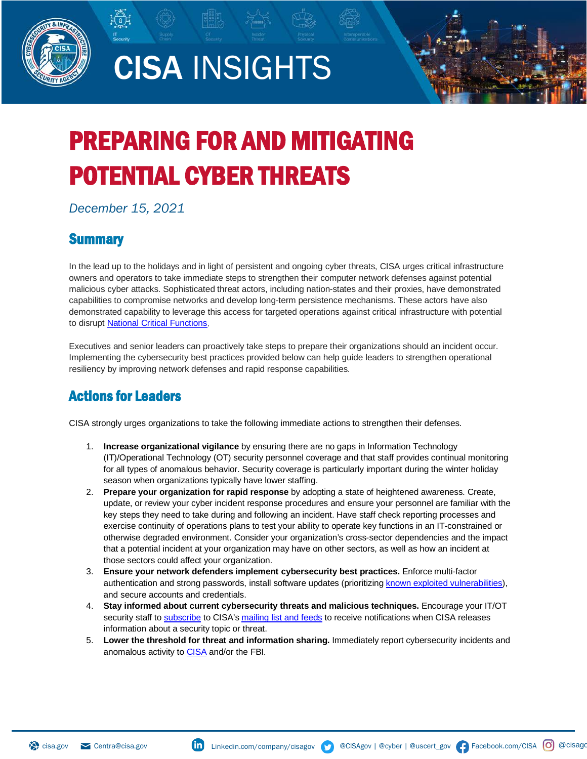

# CISA INSIGHTS



# PREPARING FOR AND MITIGATING POTENTIAL CYBER THREATS

*December 15, 2021*

# **Summary**

In the lead up to the holidays and in light of persistent and ongoing cyber threats, CISA urges critical infrastructure owners and operators to take immediate steps to strengthen their computer network defenses against potential malicious cyber attacks. Sophisticated threat actors, including nation-states and their proxies, have demonstrated capabilities to compromise networks and develop long-term persistence mechanisms. These actors have also demonstrated capability to leverage this access for targeted operations against critical infrastructure with potential to disrupt **National Critical Functions.** 

Executives and senior leaders can proactively take steps to prepare their organizations should an incident occur. Implementing the cybersecurity best practices provided below can help guide leaders to strengthen operational resiliency by improving network defenses and rapid response capabilities.

# Actions for Leaders

CISA strongly urges organizations to take the following immediate actions to strengthen their defenses.

- 1. **Increase organizational vigilance** by ensuring there are no gaps in Information Technology (IT)/Operational Technology (OT) security personnel coverage and that staff provides continual monitoring for all types of anomalous behavior. Security coverage is particularly important during the winter holiday season when organizations typically have lower staffing.
- 2. **Prepare your organization for rapid response** by adopting a state of heightened awareness. Create, update, or review your cyber incident response procedures and ensure your personnel are familiar with the key steps they need to take during and following an incident. Have staff check reporting processes and exercise continuity of operations plans to test your ability to operate key functions in an IT-constrained or otherwise degraded environment. Consider your organization's cross-sector dependencies and the impact that a potential incident at your organization may have on other sectors, as well as how an incident at those sectors could affect your organization.
- 3. **Ensure your network defenders implement cybersecurity best practices.** Enforce multi-factor authentication and strong passwords, install software updates (prioritizin[g known exploited vulnerabilities\)](http://www.cisa.gov/known-exploited-vulnerabilities-catalog), and secure accounts and credentials.
- 4. **Stay informed about current cybersecurity threats and malicious techniques.** Encourage your IT/OT security staff to [subscribe](https://public.govdelivery.com/accounts/USDHSUSCERT/subscriber/new) to CISA's [mailing list and feeds](https://us-cert.cisa.gov/mailing-lists-and-feeds) to receive notifications when CISA releases information about a security topic or threat.
- 5. **Lower the threshold for threat and information sharing.** Immediately report cybersecurity incidents and anomalous activity t[o CISA](mailto:Central@cisa.gov) and/or the FBI.